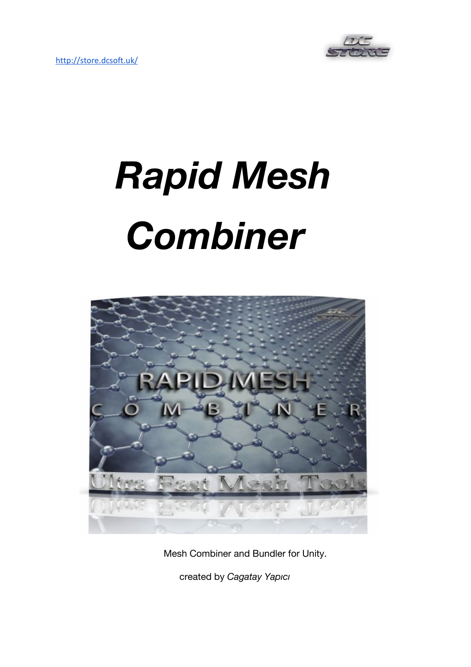

# *Rapid Mesh Combiner*



Mesh Combiner and Bundler for Unity.

created by *Cagatay Yapıcı*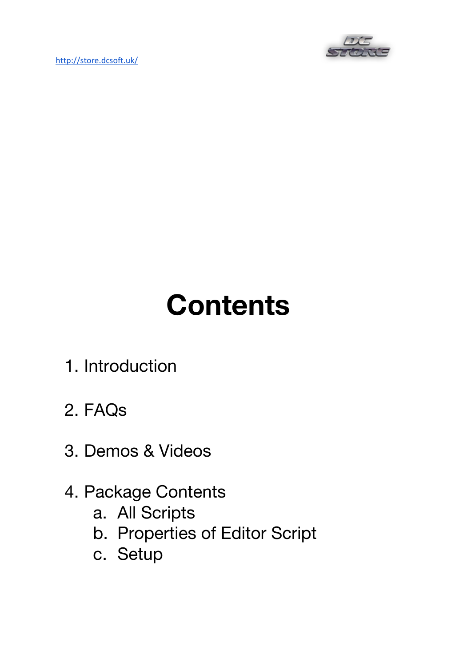<http://store.dcsoft.uk/>



## **Contents**

- 1. Introduction
- 2. FAQs
- 3. Demos & Videos
- 4. Package Contents
	- a. All Scripts
	- b. Properties of Editor Script
	- c. Setup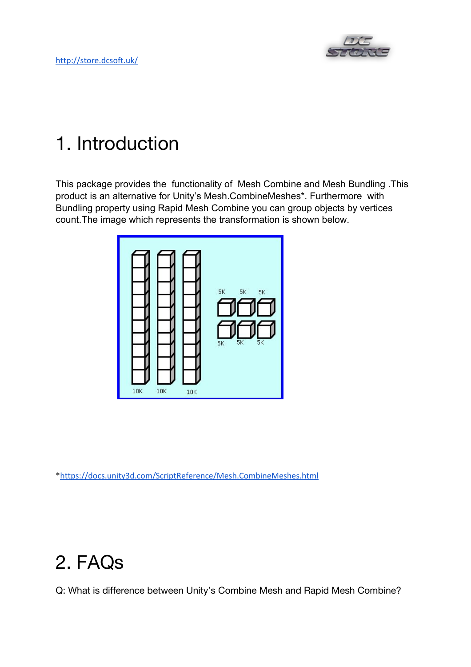

## 1. Introduction

This package provides the functionality of Mesh Combine and Mesh Bundling .This product is an alternative for Unity's Mesh.CombineMeshes\*. Furthermore with Bundling property using Rapid Mesh Combine you can group objects by vertices count.The image which represents the transformation is shown below.



\*<https://docs.unity3d.com/ScriptReference/Mesh.CombineMeshes.html>

### 2. FAQs

Q: What is difference between Unity's Combine Mesh and Rapid Mesh Combine?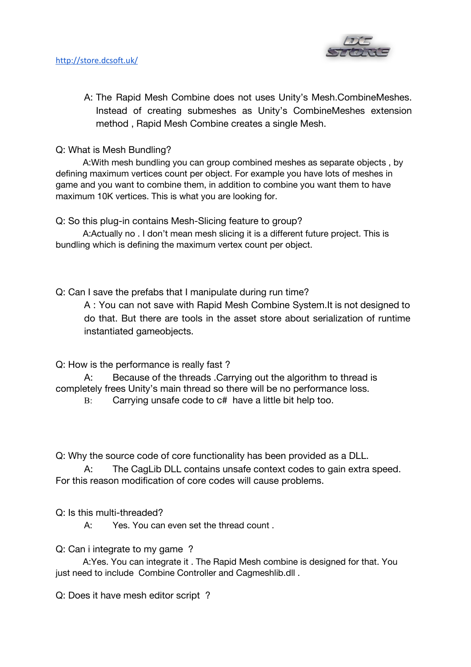

A: The Rapid Mesh Combine does not uses Unity's Mesh.CombineMeshes. Instead of creating submeshes as Unity's CombineMeshes extension method , Rapid Mesh Combine creates a single Mesh.

Q: What is Mesh Bundling?

A:With mesh bundling you can group combined meshes as separate objects , by defining maximum vertices count per object. For example you have lots of meshes in game and you want to combine them, in addition to combine you want them to have maximum 10K vertices. This is what you are looking for.

Q: So this plug-in contains Mesh-Slicing feature to group?

A:Actually no . I don't mean mesh slicing it is a different future project. This is bundling which is defining the maximum vertex count per object.

Q: Can I save the prefabs that I manipulate during run time?

A : You can not save with Rapid Mesh Combine System.It is not designed to do that. But there are tools in the asset store about serialization of runtime instantiated gameobjects.

Q: How is the performance is really fast ?

A: Because of the threads .Carrying out the algorithm to thread is completely frees Unity's main thread so there will be no performance loss.

B: Carrying unsafe code to c# have a little bit help too.

Q: Why the source code of core functionality has been provided as a DLL.

A: The CagLib DLL contains unsafe context codes to gain extra speed. For this reason modification of core codes will cause problems.

Q: Is this multi-threaded?

A: Yes. You can even set the thread count .

Q: Can i integrate to my game ?

A:Yes. You can integrate it . The Rapid Mesh combine is designed for that. You just need to include Combine Controller and Cagmeshlib.dll.

Q: Does it have mesh editor script ?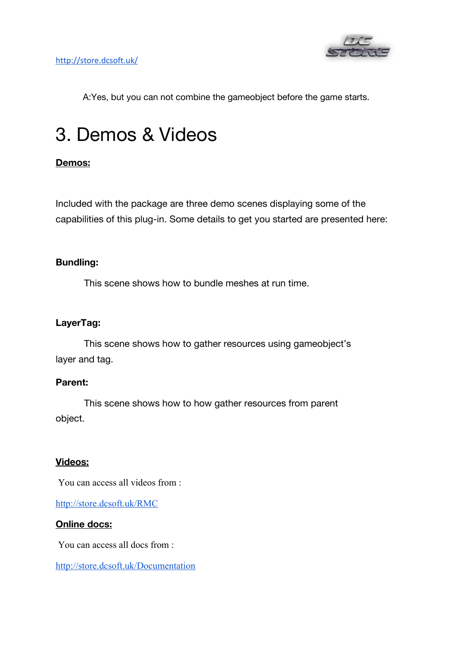

A:Yes, but you can not combine the gameobject before the game starts.

## 3. Demos & Videos

#### **Demos:**

Included with the package are three demo scenes displaying some of the capabilities of this plug-in. Some details to get you started are presented here:

#### **Bundling:**

This scene shows how to bundle meshes at run time.

#### **LayerTag:**

This scene shows how to gather resources using gameobject's layer and tag.

#### **Parent:**

This scene shows how to how gather resources from parent object.

#### **Videos:**

You can access all videos from :

<http://store.dcsoft.uk/RMC>

#### **Online docs:**

You can access all docs from :

<http://store.dcsoft.uk/Documentation>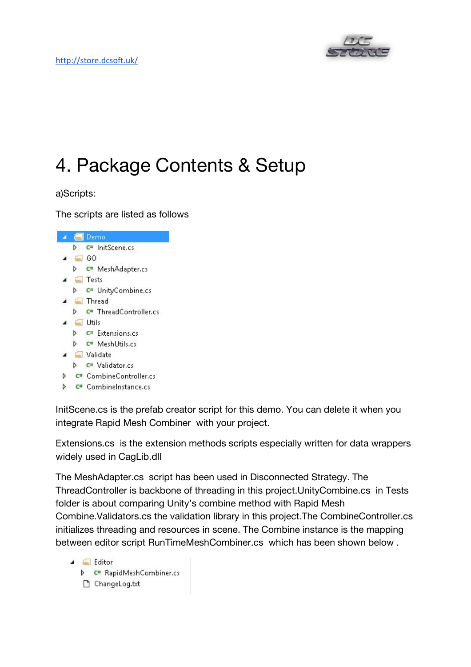

## 4. Package Contents & Setup

a)Scripts:

The scripts are listed as follows



InitScene.cs is the prefab creator script for this demo. You can delete it when you integrate Rapid Mesh Combiner with your project.

Extensions.cs is the extension methods scripts especially written for data wrappers widely used in CagLib.dll

The MeshAdapter.cs script has been used in Disconnected Strategy. The ThreadController is backbone of threading in this project.UnityCombine.cs in Tests folder is about comparing Unity's combine method with Rapid Mesh Combine.Validators.cs the validation library in this project.The CombineController.cs initializes threading and resources in scene. The Combine instance is the mapping between editor script RunTimeMeshCombiner.cs which has been shown below .

A Editor D C<sup>#</sup> RapidMeshCombiner.cs ChangeLog.txt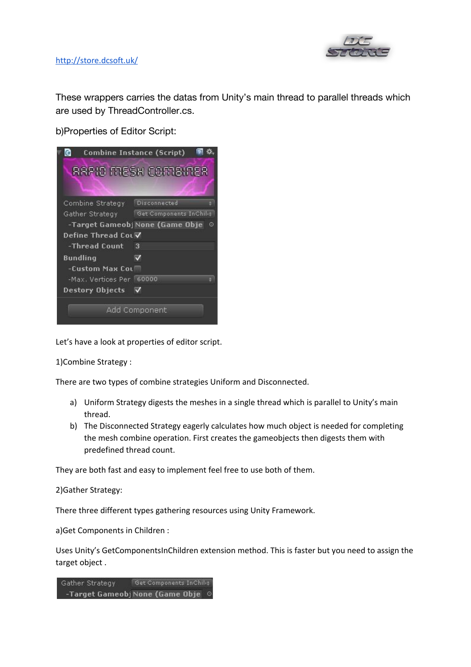

#### <http://store.dcsoft.uk/>

These wrappers carries the datas from Unity's main thread to parallel threads which are used by ThreadController.cs.

b)Properties of Editor Script:



Let's have a look at properties of editor script.

1)Combine Strategy :

There are two types of combine strategies Uniform and Disconnected.

- a) Uniform Strategy digests the meshes in a single thread which is parallel to Unity's main thread.
- b) The Disconnected Strategy eagerly calculates how much object is needed for completing the mesh combine operation. First creates the gameobjects then digests them with predefined thread count.

They are both fast and easy to implement feel free to use both of them.

2)Gather Strategy:

There three different types gathering resources using Unity Framework.

a)Get Components in Children :

Uses Unity's GetComponentsInChildren extension method. This is faster but you need to assign the target object .

Gather Strategy Get Components InChili+ -Target Gameobj None (Game Obje ©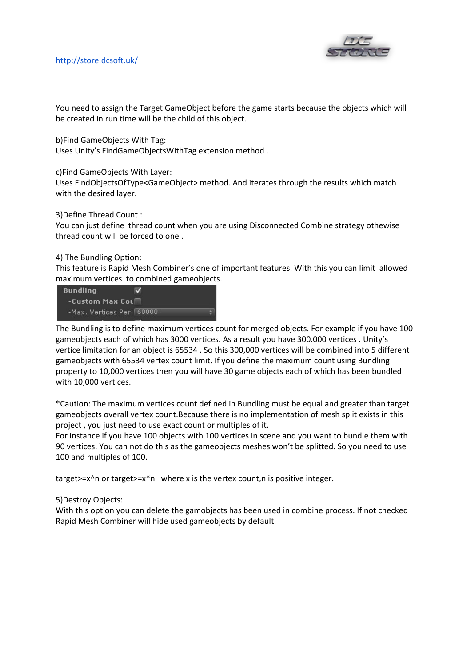

You need to assign the Target GameObject before the game starts because the objects which will be created in run time will be the child of this object.

b)Find GameObjects With Tag:

Uses Unity's FindGameObjectsWithTag extension method .

c)Find GameObjects With Layer:

Uses FindObjectsOfType<GameObject> method. And iterates through the results which match with the desired layer.

3)Define Thread Count :

You can just define thread count when you are using Disconnected Combine strategy othewise thread count will be forced to one .

#### 4) The Bundling Option:

This feature is Rapid Mesh Combiner's one of important features. With this you can limit allowed maximum vertices to combined gameobjects.

| <b>Bundling</b>           |  |
|---------------------------|--|
| -Custom Max Coul          |  |
| -Max. Vertices Per 160000 |  |

The Bundling is to define maximum vertices count for merged objects. For example if you have 100 gameobjects each of which has 3000 vertices. As a result you have 300.000 vertices . Unity's vertice limitation for an object is 65534 . So this 300,000 vertices will be combined into 5 different gameobjects with 65534 vertex count limit. If you define the maximum count using Bundling property to 10,000 vertices then you will have 30 game objects each of which has been bundled with 10,000 vertices.

\*Caution: The maximum vertices count defined in Bundling must be equal and greater than target gameobjects overall vertex count.Because there is no implementation of mesh split exists in this project , you just need to use exact count or multiples of it.

For instance if you have 100 objects with 100 vertices in scene and you want to bundle them with 90 vertices. You can not do this as the gameobjects meshes won't be splitted. So you need to use 100 and multiples of 100.

target>=x^n or target>=x\*n where x is the vertex count,n is positive integer.

#### 5)Destroy Objects:

With this option you can delete the gamobjects has been used in combine process. If not checked Rapid Mesh Combiner will hide used gameobjects by default.